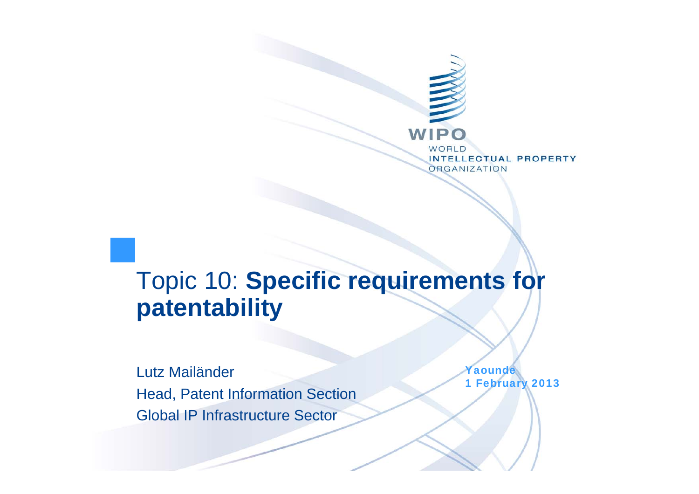

## Topic 10: **Specific requirements for patentability**

Lutz MailänderHead, Patent Information Section Global IP Infrastructure Sector

Yaounde 1 February 2013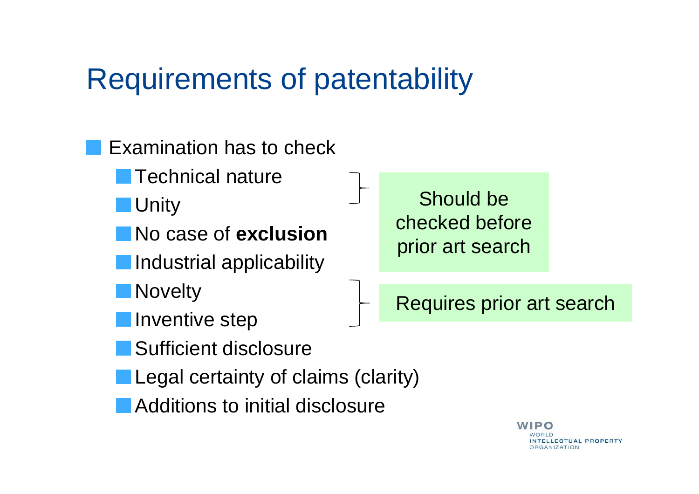## Requirements of patentability

Examination has to check

Technical nature

**Unity** 

No case of **exclusion**

Industrial applicability

**Novelty** 

Inventive step

Should be checked before prior art search

Requires prior art search

Sufficient disclosure

Legal certainty of claims (clarity)

Additions to initial disclosure

 $\blacksquare$ **ELLECTUAL PROPERTY RGANIZATION**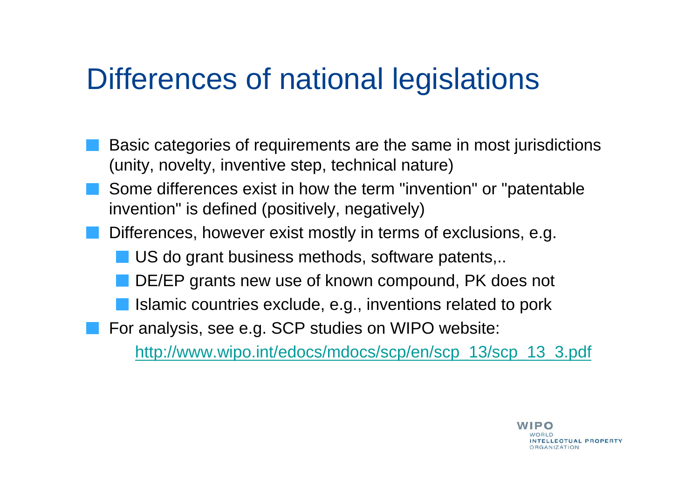## Differences of national legislations

- Basic categories of requirements are the same in most jurisdictions (unity, novelty, inventive step, technical nature)
- Some differences exist in how the term "invention" or "patentable invention" is defined (positively, negatively)
- Differences, however exist mostly in terms of exclusions, e.g.
	- US do grant business methods, software patents,..
	- DE/EP grants new use of known compound, PK does not
	- Islamic countries exclude, e.g., inventions related to pork
	- For analysis, see e.g. SCP studies on WIPO website:

http://www.wipo.int/edocs/mdocs/scp/en/scp\_13/scp\_13\_3.pdf